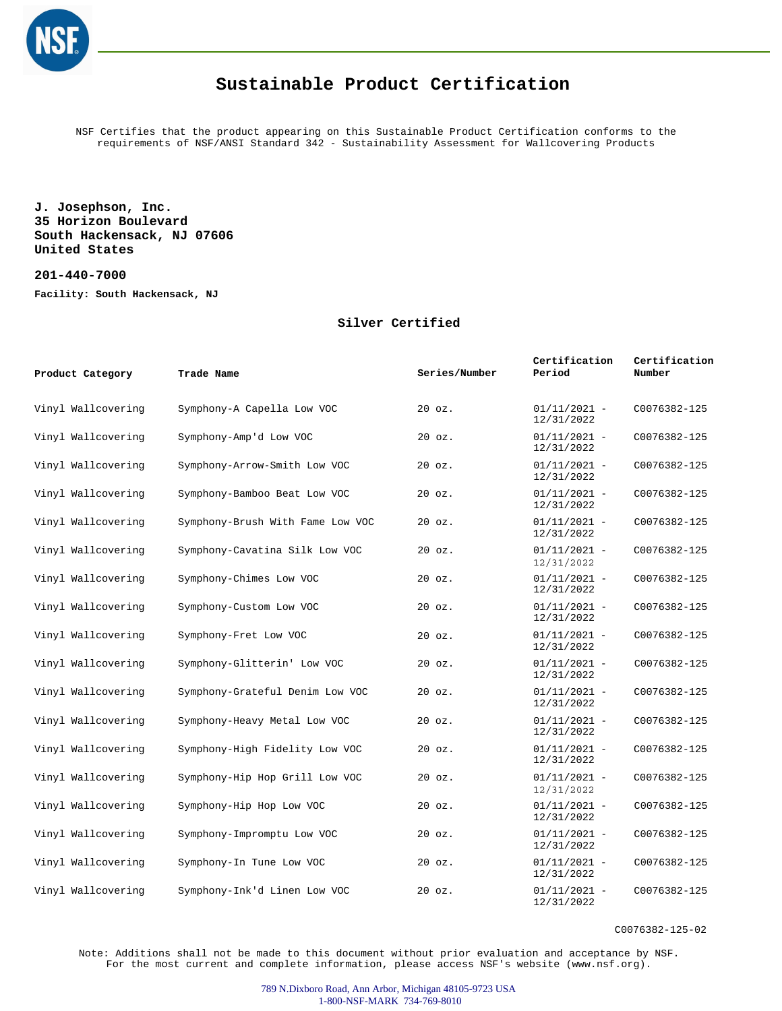

NSF Certifies that the product appearing on this Sustainable Product Certification conforms to the requirements of NSF/ANSI Standard 342 - Sustainability Assessment for Wallcovering Products

**J. Josephson, Inc. 35 Horizon Boulevard South Hackensack, NJ 07606 United States**

**201-440-7000**

**Facility: South Hackensack, NJ**

#### **Silver Certified**

| Product Category   | Trade Name                       | Series/Number | Certification<br>Period      | Certification<br>Number |
|--------------------|----------------------------------|---------------|------------------------------|-------------------------|
| Vinyl Wallcovering | Symphony-A Capella Low VOC       | $20$ $oz.$    | $01/11/2021 -$<br>12/31/2022 | C0076382-125            |
| Vinyl Wallcovering | Symphony-Amp'd Low VOC           | $20$ $oz.$    | $01/11/2021 -$<br>12/31/2022 | C0076382-125            |
| Vinyl Wallcovering | Symphony-Arrow-Smith Low VOC     | $20$ $oz.$    | $01/11/2021 -$<br>12/31/2022 | C0076382-125            |
| Vinyl Wallcovering | Symphony-Bamboo Beat Low VOC     | $20$ $oz.$    | $01/11/2021 -$<br>12/31/2022 | C0076382-125            |
| Vinyl Wallcovering | Symphony-Brush With Fame Low VOC | $20$ $oz.$    | $01/11/2021 -$<br>12/31/2022 | C0076382-125            |
| Vinyl Wallcovering | Symphony-Cavatina Silk Low VOC   | $20$ $oz.$    | $01/11/2021 -$<br>12/31/2022 | C0076382-125            |
| Vinyl Wallcovering | Symphony-Chimes Low VOC          | $20$ $oz.$    | $01/11/2021 -$<br>12/31/2022 | C0076382-125            |
| Vinyl Wallcovering | Symphony-Custom Low VOC          | $20$ $oz.$    | $01/11/2021 -$<br>12/31/2022 | C0076382-125            |
| Vinyl Wallcovering | Symphony-Fret Low VOC            | $20$ $oz.$    | $01/11/2021 -$<br>12/31/2022 | C0076382-125            |
| Vinyl Wallcovering | Symphony-Glitterin' Low VOC      | $20$ $oz.$    | $01/11/2021 -$<br>12/31/2022 | C0076382-125            |
| Vinyl Wallcovering | Symphony-Grateful Denim Low VOC  | $20$ $oz.$    | $01/11/2021 -$<br>12/31/2022 | C0076382-125            |
| Vinyl Wallcovering | Symphony-Heavy Metal Low VOC     | $20$ $oz.$    | $01/11/2021 -$<br>12/31/2022 | C0076382-125            |
| Vinyl Wallcovering | Symphony-High Fidelity Low VOC   | $20$ $oz.$    | $01/11/2021 -$<br>12/31/2022 | C0076382-125            |
| Vinyl Wallcovering | Symphony-Hip Hop Grill Low VOC   | $20$ $oz.$    | $01/11/2021 -$<br>12/31/2022 | C0076382-125            |
| Vinyl Wallcovering | Symphony-Hip Hop Low VOC         | $20$ $oz.$    | $01/11/2021 -$<br>12/31/2022 | C0076382-125            |
| Vinyl Wallcovering | Symphony-Impromptu Low VOC       | 20 oz.        | $01/11/2021 -$<br>12/31/2022 | C0076382-125            |
| Vinyl Wallcovering | Symphony-In Tune Low VOC         | 20 oz.        | $01/11/2021 -$<br>12/31/2022 | C0076382-125            |
| Vinyl Wallcovering | Symphony-Ink'd Linen Low VOC     | $20$ $oz.$    | $01/11/2021 -$<br>12/31/2022 | C0076382-125            |

C0076382-125-02

Note: Additions shall not be made to this document without prior evaluation and acceptance by NSF. For the most current and complete information, please access NSF's website (www.nsf.org).

> 789 N.Dixboro Road, Ann Arbor, Michigan 48105-9723 USA 1-800-NSF-MARK 734-769-8010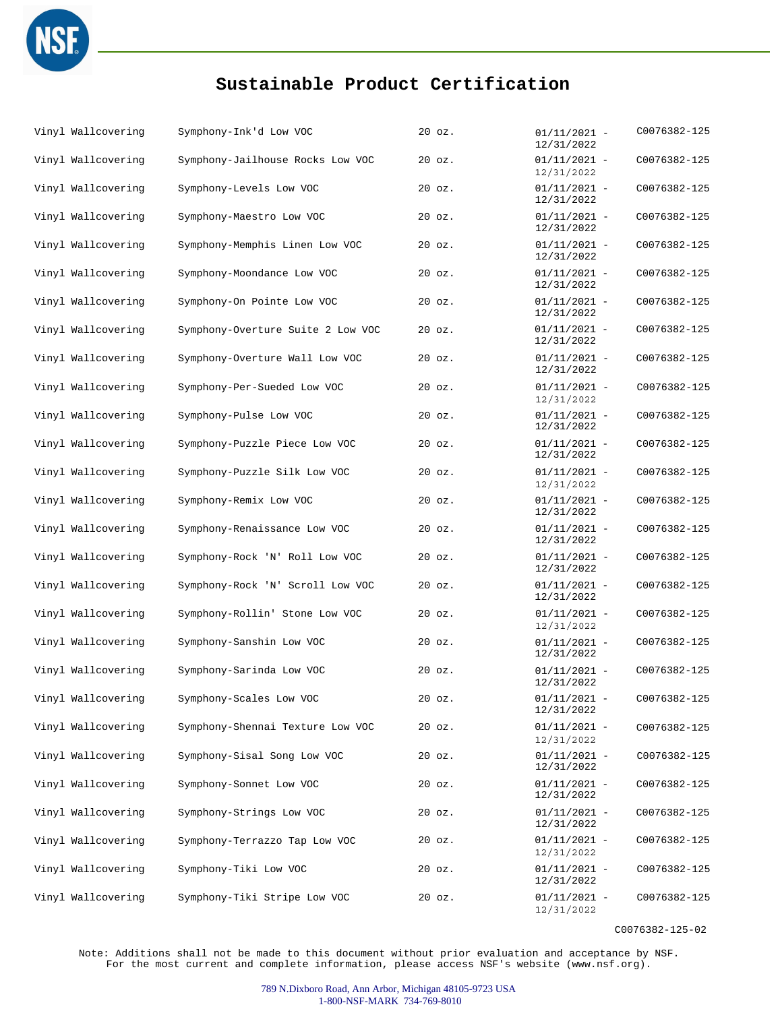

| Vinyl Wallcovering | Symphony-Ink'd Low VOC            | 20 oz.     | $01/11/2021 -$<br>12/31/2022 | C0076382-125 |
|--------------------|-----------------------------------|------------|------------------------------|--------------|
| Vinyl Wallcovering | Symphony-Jailhouse Rocks Low VOC  | $20$ $oz.$ | $01/11/2021 -$<br>12/31/2022 | C0076382-125 |
| Vinyl Wallcovering | Symphony-Levels Low VOC           | $20$ $oz.$ | $01/11/2021 -$<br>12/31/2022 | C0076382-125 |
| Vinyl Wallcovering | Symphony-Maestro Low VOC          | $20$ $oz.$ | $01/11/2021 -$<br>12/31/2022 | C0076382-125 |
| Vinyl Wallcovering | Symphony-Memphis Linen Low VOC    | $20$ $oz.$ | $01/11/2021 -$<br>12/31/2022 | C0076382-125 |
| Vinyl Wallcovering | Symphony-Moondance Low VOC        | $20$ $oz.$ | $01/11/2021 -$<br>12/31/2022 | C0076382-125 |
| Vinyl Wallcovering | Symphony-On Pointe Low VOC        | $20$ $oz.$ | $01/11/2021 -$<br>12/31/2022 | C0076382-125 |
| Vinyl Wallcovering | Symphony-Overture Suite 2 Low VOC | $20$ $oz.$ | $01/11/2021 -$<br>12/31/2022 | C0076382-125 |
| Vinyl Wallcovering | Symphony-Overture Wall Low VOC    | $20$ $oz.$ | $01/11/2021 -$<br>12/31/2022 | C0076382-125 |
| Vinyl Wallcovering | Symphony-Per-Sueded Low VOC       | $20$ $oz.$ | $01/11/2021 -$<br>12/31/2022 | C0076382-125 |
| Vinyl Wallcovering | Symphony-Pulse Low VOC            | 20 oz.     | $01/11/2021 -$<br>12/31/2022 | C0076382-125 |
| Vinyl Wallcovering | Symphony-Puzzle Piece Low VOC     | $20$ $oz.$ | $01/11/2021 -$<br>12/31/2022 | C0076382-125 |
| Vinyl Wallcovering | Symphony-Puzzle Silk Low VOC      | $20$ $oz.$ | $01/11/2021 -$<br>12/31/2022 | C0076382-125 |
| Vinyl Wallcovering | Symphony-Remix Low VOC            | $20$ $oz.$ | $01/11/2021 -$<br>12/31/2022 | C0076382-125 |
| Vinyl Wallcovering | Symphony-Renaissance Low VOC      | $20$ $oz.$ | $01/11/2021 -$<br>12/31/2022 | C0076382-125 |
| Vinyl Wallcovering | Symphony-Rock 'N' Roll Low VOC    | $20$ $oz.$ | $01/11/2021 -$<br>12/31/2022 | C0076382-125 |
| Vinyl Wallcovering | Symphony-Rock 'N' Scroll Low VOC  | $20$ $oz.$ | $01/11/2021 -$<br>12/31/2022 | C0076382-125 |
| Vinyl Wallcovering | Symphony-Rollin' Stone Low VOC    | $20$ $oz.$ | $01/11/2021 -$<br>12/31/2022 | C0076382-125 |
| Vinyl Wallcovering | Symphony-Sanshin Low VOC          | $20$ $oz.$ | $01/11/2021 -$<br>12/31/2022 | C0076382-125 |
| Vinyl Wallcovering | Symphony-Sarinda Low VOC          | $20$ $oz.$ | $01/11/2021 -$<br>12/31/2022 | C0076382-125 |
| Vinyl Wallcovering | Symphony-Scales Low VOC           | 20 oz.     | $01/11/2021 -$<br>12/31/2022 | C0076382-125 |
| Vinyl Wallcovering | Symphony-Shennai Texture Low VOC  | $20$ $oz.$ | $01/11/2021 -$<br>12/31/2022 | C0076382-125 |
| Vinyl Wallcovering | Symphony-Sisal Song Low VOC       | $20$ $oz.$ | $01/11/2021 -$<br>12/31/2022 | C0076382-125 |
| Vinyl Wallcovering | Symphony-Sonnet Low VOC           | $20$ $oz.$ | $01/11/2021 -$<br>12/31/2022 | C0076382-125 |
| Vinyl Wallcovering | Symphony-Strings Low VOC          | $20$ $oz.$ | $01/11/2021 -$<br>12/31/2022 | C0076382-125 |
| Vinyl Wallcovering | Symphony-Terrazzo Tap Low VOC     | $20$ $oz.$ | $01/11/2021 -$<br>12/31/2022 | C0076382-125 |
| Vinyl Wallcovering | Symphony-Tiki Low VOC             | $20$ $oz.$ | $01/11/2021 -$<br>12/31/2022 | C0076382-125 |
| Vinyl Wallcovering | Symphony-Tiki Stripe Low VOC      | $20$ $oz.$ | $01/11/2021 -$<br>12/31/2022 | C0076382-125 |
|                    |                                   |            |                              |              |

C0076382-125-02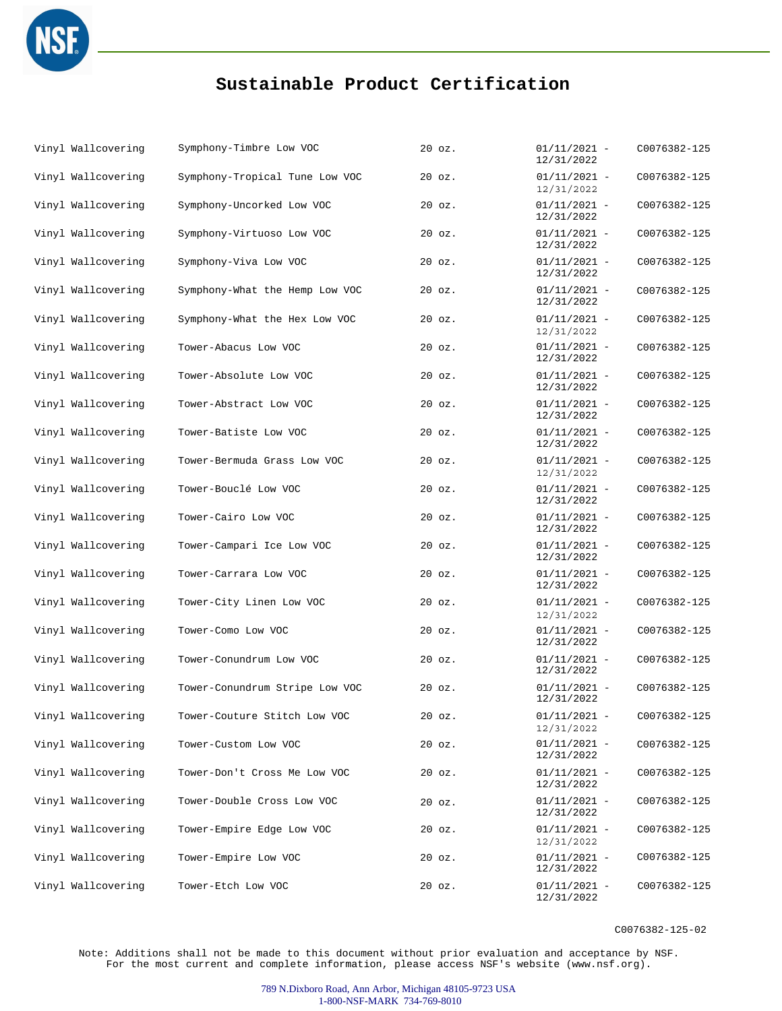

| Vinyl Wallcovering | Symphony-Timbre Low VOC        | 20 oz.     | $01/11/2021 -$<br>12/31/2022 | C0076382-125 |
|--------------------|--------------------------------|------------|------------------------------|--------------|
| Vinyl Wallcovering | Symphony-Tropical Tune Low VOC | 20 oz.     | $01/11/2021 -$<br>12/31/2022 | C0076382-125 |
| Vinyl Wallcovering | Symphony-Uncorked Low VOC      | $20$ $oz.$ | $01/11/2021 -$<br>12/31/2022 | C0076382-125 |
| Vinyl Wallcovering | Symphony-Virtuoso Low VOC      | $20$ $oz.$ | $01/11/2021 -$<br>12/31/2022 | C0076382-125 |
| Vinyl Wallcovering | Symphony-Viva Low VOC          | 20 oz.     | $01/11/2021 -$<br>12/31/2022 | C0076382-125 |
| Vinyl Wallcovering | Symphony-What the Hemp Low VOC | 20 oz.     | $01/11/2021 -$<br>12/31/2022 | C0076382-125 |
| Vinyl Wallcovering | Symphony-What the Hex Low VOC  | 20 oz.     | $01/11/2021 -$<br>12/31/2022 | C0076382-125 |
| Vinyl Wallcovering | Tower-Abacus Low VOC           | 20 oz.     | $01/11/2021 -$<br>12/31/2022 | C0076382-125 |
| Vinyl Wallcovering | Tower-Absolute Low VOC         | $20$ $oz.$ | $01/11/2021 -$<br>12/31/2022 | C0076382-125 |
| Vinyl Wallcovering | Tower-Abstract Low VOC         | $20$ $oz.$ | $01/11/2021 -$<br>12/31/2022 | C0076382-125 |
| Vinyl Wallcovering | Tower-Batiste Low VOC          | 20 oz.     | $01/11/2021 -$<br>12/31/2022 | C0076382-125 |
| Vinyl Wallcovering | Tower-Bermuda Grass Low VOC    | 20 oz.     | $01/11/2021 -$<br>12/31/2022 | C0076382-125 |
| Vinyl Wallcovering | Tower-Bouclé Low VOC           | $20$ $oz.$ | $01/11/2021 -$<br>12/31/2022 | C0076382-125 |
| Vinyl Wallcovering | Tower-Cairo Low VOC            | $20$ $oz.$ | $01/11/2021 -$<br>12/31/2022 | C0076382-125 |
| Vinyl Wallcovering | Tower-Campari Ice Low VOC      | $20$ $oz.$ | $01/11/2021 -$<br>12/31/2022 | C0076382-125 |
| Vinyl Wallcovering | Tower-Carrara Low VOC          | 20 oz.     | $01/11/2021 -$<br>12/31/2022 | C0076382-125 |
| Vinyl Wallcovering | Tower-City Linen Low VOC       | $20$ $oz.$ | $01/11/2021 -$<br>12/31/2022 | C0076382-125 |
| Vinyl Wallcovering | Tower-Como Low VOC             | $20$ $oz.$ | $01/11/2021 -$<br>12/31/2022 | C0076382-125 |
| Vinyl Wallcovering | Tower-Conundrum Low VOC        | $20$ $oz.$ | $01/11/2021 -$<br>12/31/2022 | C0076382-125 |
| Vinyl Wallcovering | Tower-Conundrum Stripe Low VOC | $20$ $oz.$ | $01/11/2021 -$<br>12/31/2022 | C0076382-125 |
| Vinyl Wallcovering | Tower-Couture Stitch Low VOC   | 20 oz.     | $01/11/2021 -$<br>12/31/2022 | C0076382-125 |
| Vinyl Wallcovering | Tower-Custom Low VOC           | 20 oz.     | $01/11/2021 -$<br>12/31/2022 | C0076382-125 |
| Vinyl Wallcovering | Tower-Don't Cross Me Low VOC   | $20$ $oz.$ | $01/11/2021 -$<br>12/31/2022 | C0076382-125 |
| Vinyl Wallcovering | Tower-Double Cross Low VOC     | $20$ $oz.$ | $01/11/2021 -$<br>12/31/2022 | C0076382-125 |
| Vinyl Wallcovering | Tower-Empire Edge Low VOC      | $20$ $oz.$ | $01/11/2021 -$<br>12/31/2022 | C0076382-125 |
| Vinyl Wallcovering | Tower-Empire Low VOC           | 20 oz.     | $01/11/2021 -$<br>12/31/2022 | C0076382-125 |
| Vinyl Wallcovering | Tower-Etch Low VOC             | $20$ $oz.$ | $01/11/2021 -$<br>12/31/2022 | C0076382-125 |

C0076382-125-02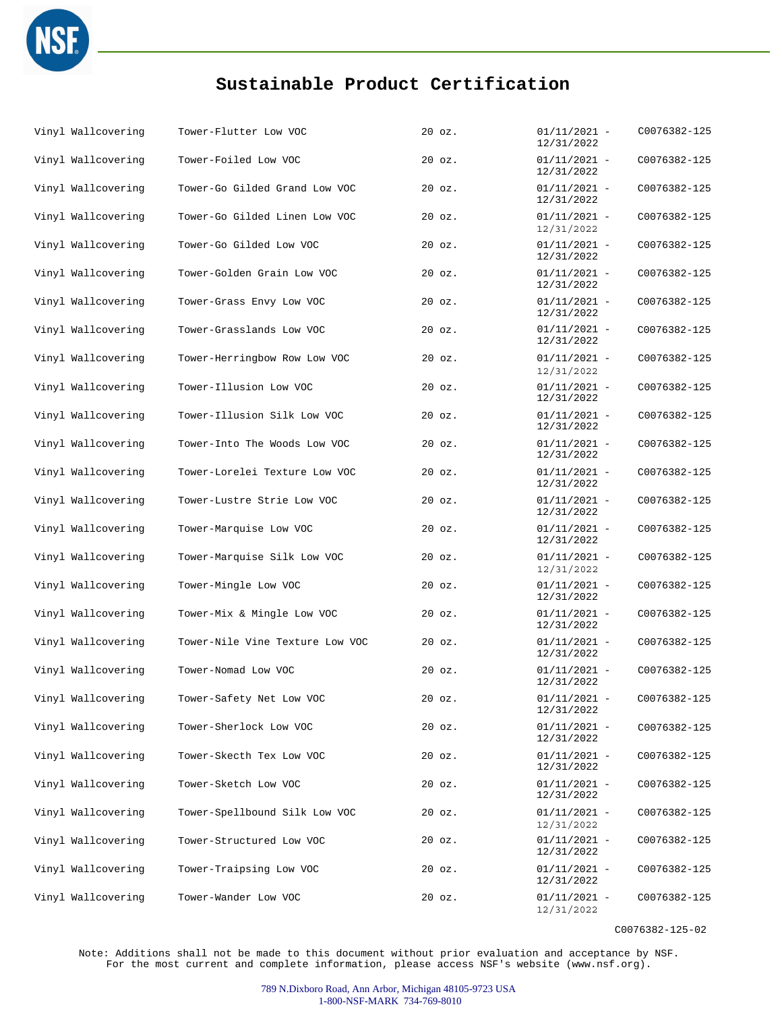

| Vinyl Wallcovering | Tower-Flutter Low VOC           | $20$ $oz.$ | $01/11/2021 -$<br>12/31/2022 | C0076382-125 |
|--------------------|---------------------------------|------------|------------------------------|--------------|
| Vinyl Wallcovering | Tower-Foiled Low VOC            | $20$ $oz.$ | $01/11/2021 -$<br>12/31/2022 | C0076382-125 |
| Vinyl Wallcovering | Tower-Go Gilded Grand Low VOC   | $20$ $oz.$ | $01/11/2021 -$<br>12/31/2022 | C0076382-125 |
| Vinyl Wallcovering | Tower-Go Gilded Linen Low VOC   | 20 oz.     | $01/11/2021 -$<br>12/31/2022 | C0076382-125 |
| Vinyl Wallcovering | Tower-Go Gilded Low VOC         | $20$ $oz.$ | $01/11/2021 -$<br>12/31/2022 | C0076382-125 |
| Vinyl Wallcovering | Tower-Golden Grain Low VOC      | $20$ $oz.$ | $01/11/2021 -$<br>12/31/2022 | C0076382-125 |
| Vinyl Wallcovering | Tower-Grass Envy Low VOC        | $20$ $oz.$ | $01/11/2021 -$<br>12/31/2022 | C0076382-125 |
| Vinyl Wallcovering | Tower-Grasslands Low VOC        | $20$ $oz.$ | $01/11/2021 -$<br>12/31/2022 | C0076382-125 |
| Vinyl Wallcovering | Tower-Herringbow Row Low VOC    | $20$ $oz.$ | $01/11/2021 -$<br>12/31/2022 | C0076382-125 |
| Vinyl Wallcovering | Tower-Illusion Low VOC          | $20$ $oz.$ | $01/11/2021 -$<br>12/31/2022 | C0076382-125 |
| Vinyl Wallcovering | Tower-Illusion Silk Low VOC     | $20$ $oz.$ | $01/11/2021 -$<br>12/31/2022 | C0076382-125 |
| Vinyl Wallcovering | Tower-Into The Woods Low VOC    | $20$ $oz.$ | $01/11/2021 -$<br>12/31/2022 | C0076382-125 |
| Vinyl Wallcovering | Tower-Lorelei Texture Low VOC   | $20$ $oz.$ | $01/11/2021 -$<br>12/31/2022 | C0076382-125 |
| Vinyl Wallcovering | Tower-Lustre Strie Low VOC      | 20 oz.     | $01/11/2021 -$<br>12/31/2022 | C0076382-125 |
| Vinyl Wallcovering | Tower-Marquise Low VOC          | $20$ $oz.$ | $01/11/2021 -$<br>12/31/2022 | C0076382-125 |
| Vinyl Wallcovering | Tower-Marquise Silk Low VOC     | $20$ $oz.$ | $01/11/2021 -$<br>12/31/2022 | C0076382-125 |
| Vinyl Wallcovering | Tower-Mingle Low VOC            | $20$ $oz.$ | $01/11/2021 -$<br>12/31/2022 | C0076382-125 |
| Vinyl Wallcovering | Tower-Mix & Mingle Low VOC      | $20$ $oz.$ | $01/11/2021 -$<br>12/31/2022 | C0076382-125 |
| Vinyl Wallcovering | Tower-Nile Vine Texture Low VOC | $20$ $oz.$ | $01/11/2021 -$<br>12/31/2022 | C0076382-125 |
| Vinyl Wallcovering | Tower-Nomad Low VOC             | $20$ $oz.$ | $01/11/2021 -$<br>12/31/2022 | C0076382-125 |
| Vinyl Wallcovering | Tower-Safety Net Low VOC        | 20 oz.     | $01/11/2021 -$<br>12/31/2022 | C0076382-125 |
| Vinyl Wallcovering | Tower-Sherlock Low VOC          | $20$ $oz.$ | $01/11/2021 -$<br>12/31/2022 | C0076382-125 |
| Vinyl Wallcovering | Tower-Skecth Tex Low VOC        | $20$ $oz.$ | $01/11/2021 -$<br>12/31/2022 | C0076382-125 |
| Vinyl Wallcovering | Tower-Sketch Low VOC            | $20$ $oz.$ | $01/11/2021 -$<br>12/31/2022 | C0076382-125 |
| Vinyl Wallcovering | Tower-Spellbound Silk Low VOC   | $20$ $oz.$ | $01/11/2021 -$<br>12/31/2022 | C0076382-125 |
| Vinyl Wallcovering | Tower-Structured Low VOC        | $20$ $oz.$ | $01/11/2021 -$<br>12/31/2022 | C0076382-125 |
| Vinyl Wallcovering | Tower-Traipsing Low VOC         | $20$ $oz.$ | $01/11/2021 -$<br>12/31/2022 | C0076382-125 |
| Vinyl Wallcovering | Tower-Wander Low VOC            | $20$ $oz.$ | $01/11/2021 -$<br>12/31/2022 | C0076382-125 |

C0076382-125-02